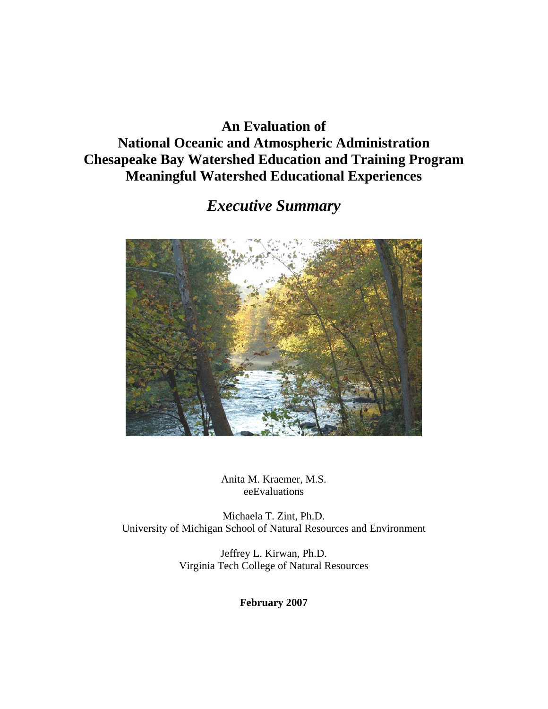## **An Evaluation of National Oceanic and Atmospheric Administration Chesapeake Bay Watershed Education and Training Program Meaningful Watershed Educational Experiences**

## *Executive Summary*



Anita M. Kraemer, M.S. eeEvaluations

Michaela T. Zint, Ph.D. University of Michigan School of Natural Resources and Environment

> Jeffrey L. Kirwan, Ph.D. Virginia Tech College of Natural Resources

> > **February 2007**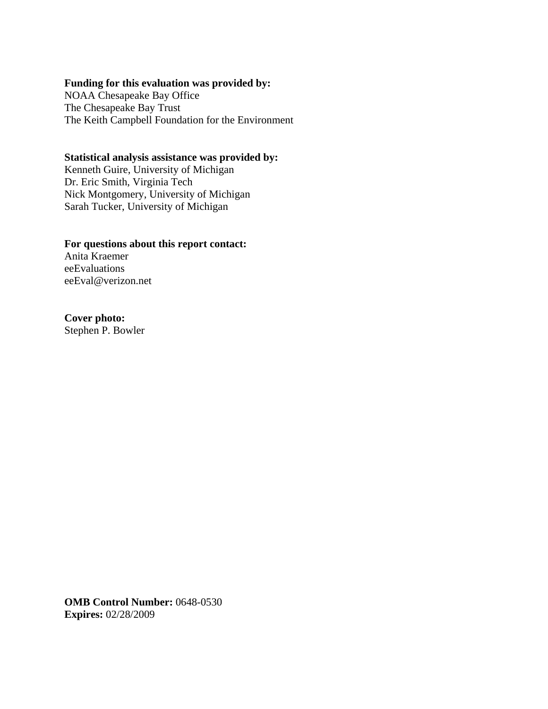#### **Funding for this evaluation was provided by:**

NOAA Chesapeake Bay Office The Chesapeake Bay Trust The Keith Campbell Foundation for the Environment

#### **Statistical analysis assistance was provided by:**

Kenneth Guire, University of Michigan Dr. Eric Smith, Virginia Tech Nick Montgomery, University of Michigan Sarah Tucker, University of Michigan

#### **For questions about this report contact:**

Anita Kraemer eeEvaluations eeEval@verizon.net

#### **Cover photo:**

Stephen P. Bowler

**OMB Control Number:** 0648-0530 **Expires:** 02/28/2009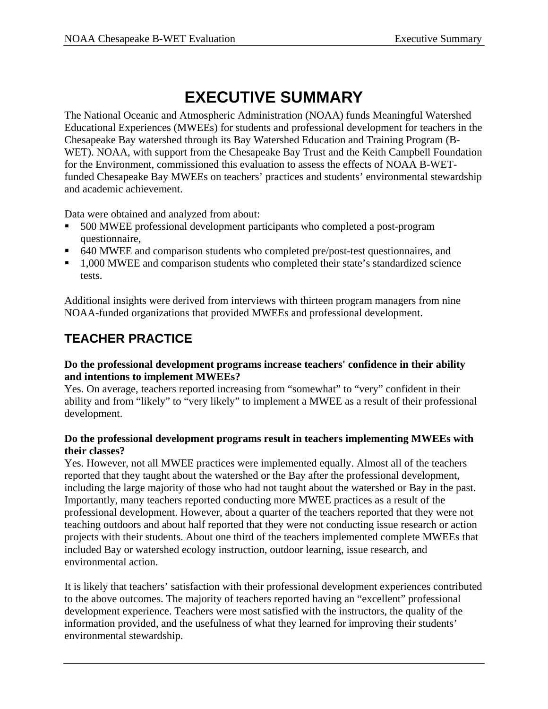# **EXECUTIVE SUMMARY**

The National Oceanic and Atmospheric Administration (NOAA) funds Meaningful Watershed Educational Experiences (MWEEs) for students and professional development for teachers in the Chesapeake Bay watershed through its Bay Watershed Education and Training Program (B-WET). NOAA, with support from the Chesapeake Bay Trust and the Keith Campbell Foundation for the Environment, commissioned this evaluation to assess the effects of NOAA B-WETfunded Chesapeake Bay MWEEs on teachers' practices and students' environmental stewardship and academic achievement.

Data were obtained and analyzed from about:

- 500 MWEE professional development participants who completed a post-program questionnaire,
- 640 MWEE and comparison students who completed pre/post-test questionnaires, and
- <sup>1</sup>.000 MWEE and comparison students who completed their state's standardized science tests.

Additional insights were derived from interviews with thirteen program managers from nine NOAA-funded organizations that provided MWEEs and professional development.

## **TEACHER PRACTICE**

#### **Do the professional development programs increase teachers' confidence in their ability and intentions to implement MWEEs?**

Yes. On average, teachers reported increasing from "somewhat" to "very" confident in their ability and from "likely" to "very likely" to implement a MWEE as a result of their professional development.

#### **Do the professional development programs result in teachers implementing MWEEs with their classes?**

Yes. However, not all MWEE practices were implemented equally. Almost all of the teachers reported that they taught about the watershed or the Bay after the professional development, including the large majority of those who had not taught about the watershed or Bay in the past. Importantly, many teachers reported conducting more MWEE practices as a result of the professional development. However, about a quarter of the teachers reported that they were not teaching outdoors and about half reported that they were not conducting issue research or action projects with their students. About one third of the teachers implemented complete MWEEs that included Bay or watershed ecology instruction, outdoor learning, issue research, and environmental action.

It is likely that teachers' satisfaction with their professional development experiences contributed to the above outcomes. The majority of teachers reported having an "excellent" professional development experience. Teachers were most satisfied with the instructors, the quality of the information provided, and the usefulness of what they learned for improving their students' environmental stewardship.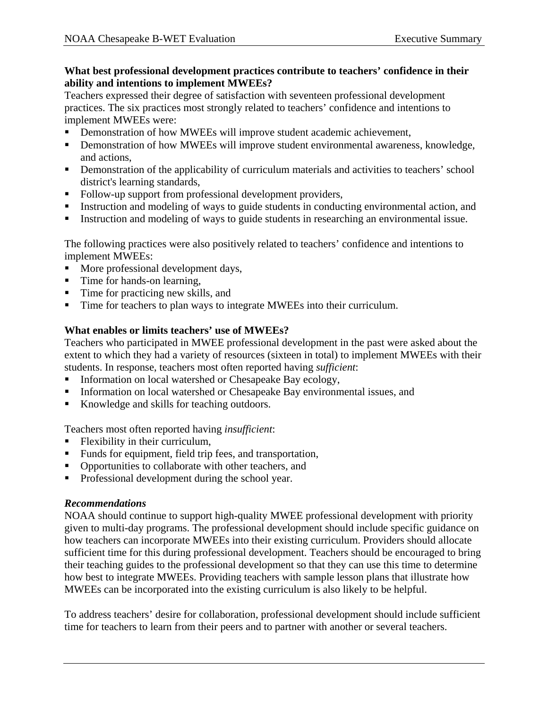#### **What best professional development practices contribute to teachers' confidence in their ability and intentions to implement MWEEs?**

Teachers expressed their degree of satisfaction with seventeen professional development practices. The six practices most strongly related to teachers' confidence and intentions to implement MWEEs were:

- Demonstration of how MWEEs will improve student academic achievement,
- Demonstration of how MWEEs will improve student environmental awareness, knowledge, and actions,
- Demonstration of the applicability of curriculum materials and activities to teachers' school district's learning standards,
- Follow-up support from professional development providers,
- Instruction and modeling of ways to guide students in conducting environmental action, and
- Instruction and modeling of ways to guide students in researching an environmental issue.

The following practices were also positively related to teachers' confidence and intentions to implement MWEEs:

- More professional development days,
- Time for hands-on learning,
- Time for practicing new skills, and
- Time for teachers to plan ways to integrate MWEEs into their curriculum.

#### **What enables or limits teachers' use of MWEEs?**

Teachers who participated in MWEE professional development in the past were asked about the extent to which they had a variety of resources (sixteen in total) to implement MWEEs with their students. In response, teachers most often reported having *sufficient*:

- Information on local watershed or Chesapeake Bay ecology,
- Information on local watershed or Chesapeake Bay environmental issues, and
- Knowledge and skills for teaching outdoors.

Teachers most often reported having *insufficient*:

- **Flexibility in their curriculum,**
- Funds for equipment, field trip fees, and transportation,
- Opportunities to collaborate with other teachers, and
- Professional development during the school year.

#### *Recommendations*

NOAA should continue to support high-quality MWEE professional development with priority given to multi-day programs. The professional development should include specific guidance on how teachers can incorporate MWEEs into their existing curriculum. Providers should allocate sufficient time for this during professional development. Teachers should be encouraged to bring their teaching guides to the professional development so that they can use this time to determine how best to integrate MWEEs. Providing teachers with sample lesson plans that illustrate how MWEEs can be incorporated into the existing curriculum is also likely to be helpful.

To address teachers' desire for collaboration, professional development should include sufficient time for teachers to learn from their peers and to partner with another or several teachers.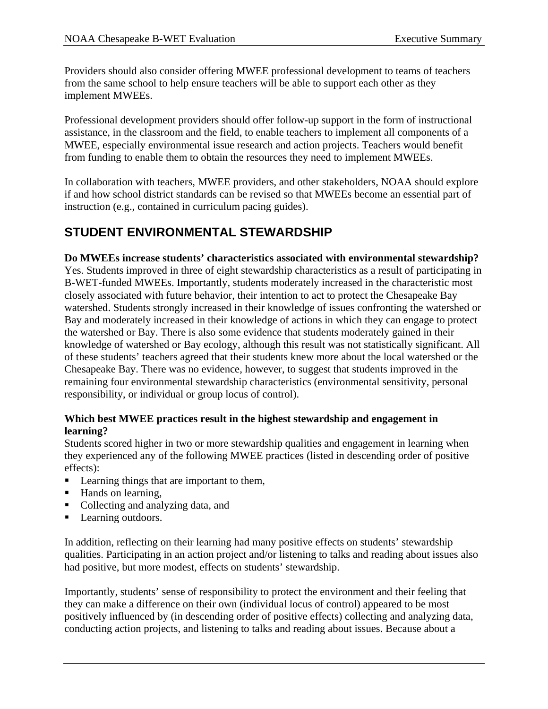Providers should also consider offering MWEE professional development to teams of teachers from the same school to help ensure teachers will be able to support each other as they implement MWEEs.

Professional development providers should offer follow-up support in the form of instructional assistance, in the classroom and the field, to enable teachers to implement all components of a MWEE, especially environmental issue research and action projects. Teachers would benefit from funding to enable them to obtain the resources they need to implement MWEEs.

In collaboration with teachers, MWEE providers, and other stakeholders, NOAA should explore if and how school district standards can be revised so that MWEEs become an essential part of instruction (e.g., contained in curriculum pacing guides).

## **STUDENT ENVIRONMENTAL STEWARDSHIP**

**Do MWEEs increase students' characteristics associated with environmental stewardship?** 

Yes. Students improved in three of eight stewardship characteristics as a result of participating in B-WET-funded MWEEs. Importantly, students moderately increased in the characteristic most closely associated with future behavior, their intention to act to protect the Chesapeake Bay watershed. Students strongly increased in their knowledge of issues confronting the watershed or Bay and moderately increased in their knowledge of actions in which they can engage to protect the watershed or Bay. There is also some evidence that students moderately gained in their knowledge of watershed or Bay ecology, although this result was not statistically significant. All of these students' teachers agreed that their students knew more about the local watershed or the Chesapeake Bay. There was no evidence, however, to suggest that students improved in the remaining four environmental stewardship characteristics (environmental sensitivity, personal responsibility, or individual or group locus of control).

#### **Which best MWEE practices result in the highest stewardship and engagement in learning?**

Students scored higher in two or more stewardship qualities and engagement in learning when they experienced any of the following MWEE practices (listed in descending order of positive effects):

- Learning things that are important to them,
- Hands on learning,
- Collecting and analyzing data, and
- **Learning outdoors.**

In addition, reflecting on their learning had many positive effects on students' stewardship qualities. Participating in an action project and/or listening to talks and reading about issues also had positive, but more modest, effects on students' stewardship.

Importantly, students' sense of responsibility to protect the environment and their feeling that they can make a difference on their own (individual locus of control) appeared to be most positively influenced by (in descending order of positive effects) collecting and analyzing data, conducting action projects, and listening to talks and reading about issues. Because about a